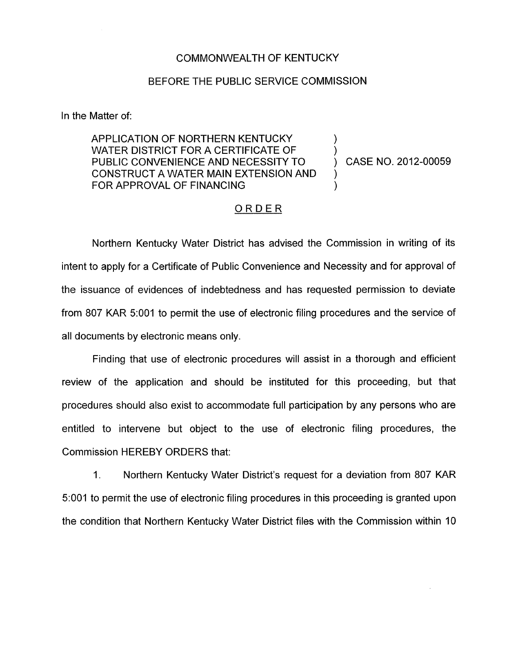## COMMONWEALTH OF KENTUCKY

## BEFORE THE PUBLIC SERVICE COMMISSION

In the Matter of:

APPLICATION OF NORTHERN KENTUCKY WATER DISTRICT FOR A CERTIFICATE OF  $\qquad\qquad$  )<br>PUBLIC CONVENIENCE AND NECESSITY TO  $\qquad\qquad$  ) PUBLIC CONVENIENCE AND NECESSITY TO (2012-00059) CONSTRUCT A WATER MAIN EXTENSION AND ) FOR APPROVAL OF FINANCING

## ORDER

Northern Kentucky Water District has advised the Commission in writing of its intent to apply for a Certificate of Public Convenience and Necessity and for approval of the issuance of evidences of indebtedness and has requested permission to deviate from 807 KAR 5:OOl to permit the use of electronic filing procedures and the service of all documents by electronic means only.

Finding that use of electronic procedures will assist in a thorough and efficient review of the application and should be instituted for this proceeding, but that procedures should also exist to accommodate full participation by any persons who are entitled to intervene but object to the use of electronic filing procedures, the Commission HEREBY ORDERS that:

1. Northern Kentucky Water District's request for a deviation from 807 KAR 5:OOl to permit the use of electronic filing procedures in this proceeding is granted upon the condition that Northern Kentucky Water District files with the Commission within 10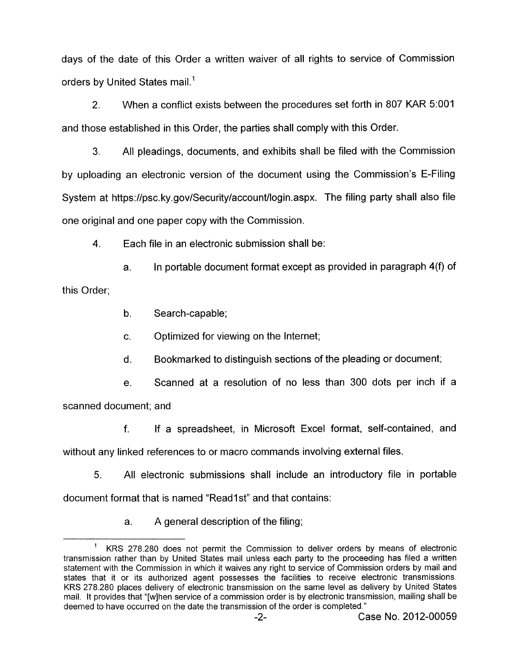days of the date of this Order a written waiver of all rights to service of Commission orders by United States mail.'

2. When a conflict exists between the procedures set forth in 807 KAR 5:OOl and those established in this Order, the parties shall comply with this Order.

**3.** All pleadings, documents, and exhibits shall be filed with the Commission by uploading an electronic version of the document using the Commission's E-Filing System at [https://psc.](https://psc) ky.gov/Security/account/login.aspx. The filing party shall also file one original and one paper copy with the Commission.

**4.** Each file in an electronic submission shall be:

a. In portable document format except as provided in paragraph **4(9** of this Order;

b. Search-capable;

c. Optimized for viewing on the Internet;

d. Bookmarked to distinguish sections of the pleading or document;

e. Scanned at a resolution of no less than 300 dots per inch if a

scanned document; and

f. If a spreadsheet, in Microsoft Excel format, self-contained, and without any linked references to or macro commands involving external files.

5. All electronic submissions shall include an introductory file in portable document format that is named "Read1st" and that contains:

a. A general description of the filing;

KRS 278.280 does not permit the Commission to deliver orders by means of electronic transmission rather than by United States mail unless each party to the proceeding has filed a written statement with the Commission in which it waives any right to service of Commission orders by mail and states that it or its authorized agent possesses the facilities to receive electronic transmissions. KRS 278.280 places delivery of electronic transmission on the same level as delivery by United States mail. It provides that "[wlhen service of a commission order is by electronic transmission, mailing shall be deemed to have occurred on the date the transmission of the order is completed." **1**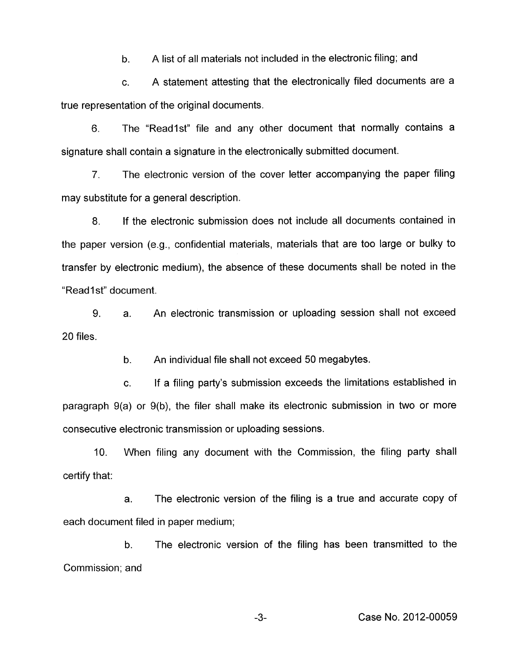b. A list of all materials not included in the electronic filing; and

c. A statement attesting that the electronically filed documents are a true representation of the original documents.

6. The "Readlst" file and any other document that normally contains a signature shall contain a signature in the electronically submitted document.

*7.* The electronic version of the cover letter accompanying the paper filing may substitute for a general description.

8. If the electronic submission does not include all documents contained in the paper version (e.g., confidential materials, materials that are too large or bulky to transfer by electronic medium), the absence of these documents shall be noted in the "Read 1 st" document.

9. 20 files. a. An electronic transmission or uploading session shall not exceed

> b. An individual file shall not exceed 50 megabytes.

c. If a filing party's submission exceeds the limitations established in paragraph  $9(a)$  or  $9(b)$ , the filer shall make its electronic submission in two or more consecutive electronic transmission or uploading sessions.

10. When filing any document with the Commission, the filing party shall certify that:

a. The electronic version of the filing is a true and accurate copy of each document filed in paper medium;

b. The electronic version of the filing has been transmitted to the Commission: and

**-3-** Case No. 2012-00059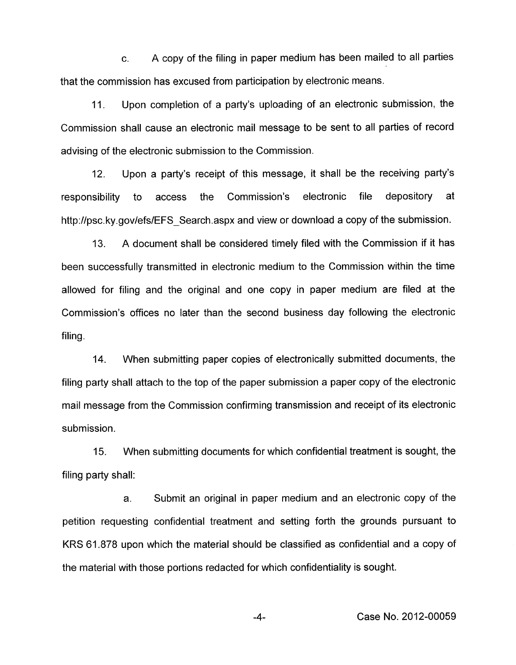c. A copy of the filing in paper medium has been mailed to all parties that the commission has excused from participation by electronic means.

11. Upon completion of a party's uploading of an electronic submission, the Commission shall cause an electronic mail message to be sent to all parties of record advising of the electronic submission to the Commission.

12. Upon a party's receipt of this message, it shall be the receiving party's responsibility to access the Commission's electronic file depository at [http://psc.](http://psc)ky.gov/efs/EFS Search.aspx and view or download a copy of the submission.

A document shall be considered timely filed with the Commission if it has been successfully transmitted in electronic medium to the Commission within the time allowed for filing and the original and one copy in paper medium are filed at the Commission's offices no later than the second business day following the electronic filing. 13.

14. When submitting paper copies of electronically submitted documents, the filing party shall attach to the top of the paper submission a paper copy of the electronic mail message from the Commission confirming transmission and receipt of its electronic submission.

15. filing party shall: When submitting documents for which confidential treatment is sought, the

a. Submit an original in paper medium and an electronic copy of the petition requesting confidential treatment and setting forth the grounds pursuant to KRS 61.878 upon which the material should be classified as confidential and a copy of the material with those portions redacted for which confidentiality is sought.

-4- Case No. 2012-00059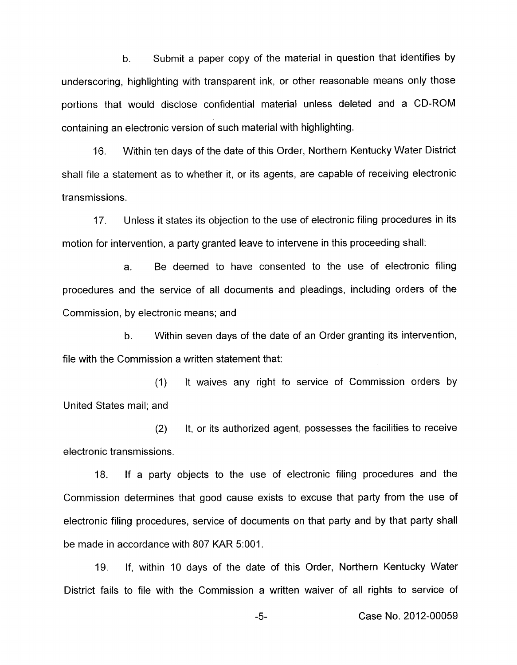b. Submit a paper copy of the material in question that identifies by underscoring, highlighting with transparent ink, or other reasonable means only those portions that would disclose confidential material unless deleted and a CD-ROM containing an electronic version of such material with highlighting.

16. Within ten days of the date of this Order, Northern Kentucky Water District shall file a statement as to whether it, or its agents, are capable of receiving electronic transmissions.

17. Unless it states its objection to the use of electronic filing procedures in its motion for intervention, a party granted leave to intervene in this proceeding shall:

a. Be deemed to have consented to the use of electronic filing procedures and the service of all documents and pleadings, including orders of the Commission, by electronic means; and

b. Within seven days of the date of an Order granting its intervention, file with the Commission a written statement that:

(1) United States mail; and It waives any right to service of Commission orders by

(2) It, or its authorized agent, possesses the facilities to receive electronic transmissions.

18. If a party objects to the use of electronic filing procedures and the Commission determines that good cause exists to excuse that party from the use of electronic filing procedures, service of documents on that party and by that party shall be made in accordance with 807 KAR 5:OOl.

19. If, within 10 days of the date of this Order, Northern Kentucky Water District fails to file with the Commission a written waiver of all rights to service of

-5- Case No. 2012-00059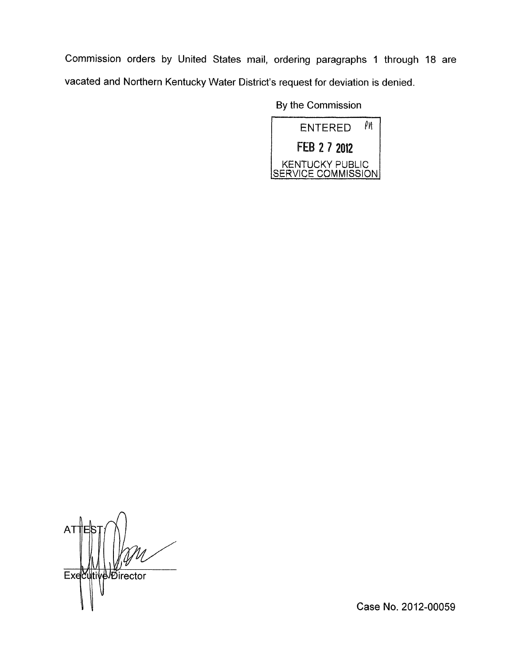Commission orders by United States mail, ordering paragraphs 1 through 18 are vacated and Northern Kentucky Water District's request for deviation is denied.

By the Commission

| PИ<br>ENTERED                                |
|----------------------------------------------|
| FEB 2 7 2012                                 |
| <b>KENTUCKY PUBLIC</b><br>SERVICE COMMISSION |

**AT** Executive Director

Case No. 2012-00059